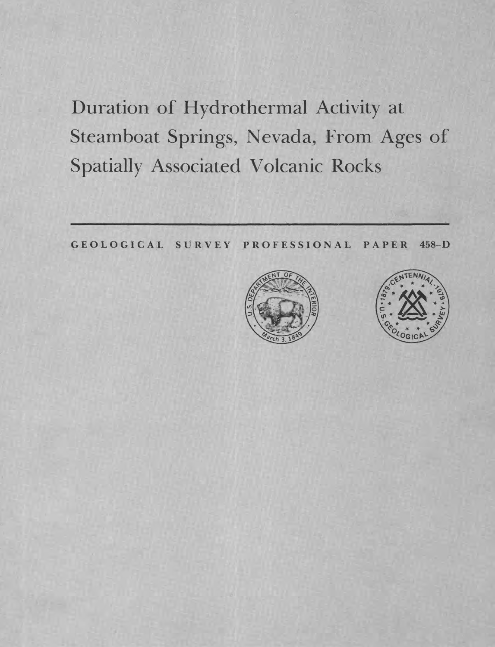# Duration of Hydrothermal Activity at Steamboat Springs, Nevada, From Ages of Spatially Associated Volcanic Rocks

**GEOLOGIC AiL SURVEY PROFESSIONAL PAPER 458-D**



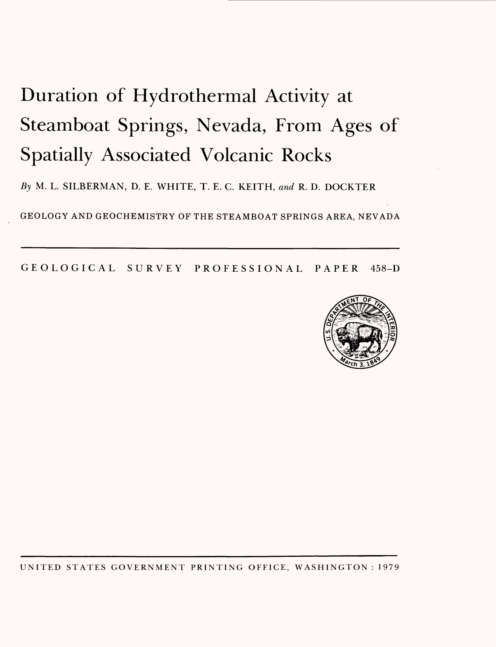# Duration of Hydrothermal Activity at Steamboat Springs, Nevada, From Ages of Spatially Associated Volcanic Rocks

*By* M. L. SILBERMAN, D. E. WHITE, T. E. C. KEITH, *and* R. D. DOCKTER

GEOLOGY AND GEOCHEMISTRY OF THE STEAMBOAT SPRINGS AREA, NEVADA

GEOLOGICAL SURVEY PROFESSIONAL PAPER 458-D



UNITED STATES GOVERNMENT PRINTING OFFICE, WASHINGTON : 1979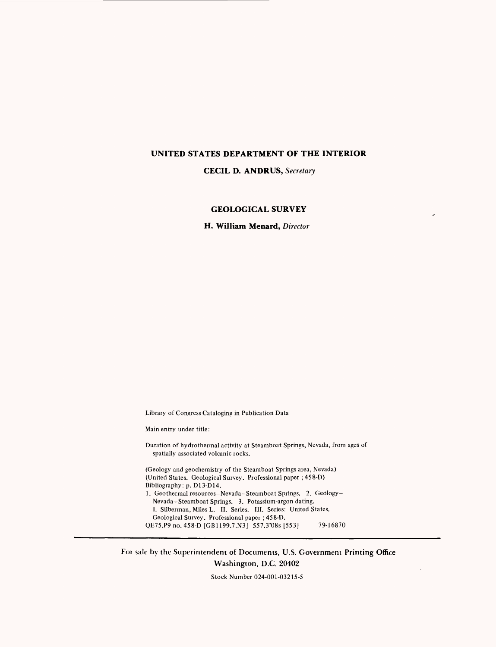## **UNITED STATES DEPARTMENT OF THE INTERIOR**

**CECIL D. ANDRUS,** *Secretary*

#### **GEOLOGICAL SURVEY**

 $\overline{\phantom{a}}$ 

**H. William Menard,** *Director*

Library of Congress Cataloging in Publication Data

Main entry under title:

Duration of hydrothermal activity at Steamboat Springs, Nevada, from ages of spatially associated volcanic rocks.

(Geology and geochemistry of the Steamboat Springs area, Nevada) (United States. Geological Survey. Professional paper ; 45 8-D) Bibliography: p. D13-D14.

1. Geothermal resources-Nevada-Steamboat Springs. 2. Geology-Nevada-Steamboat Springs. 3. Potassium-argon dating. I. Silberman, Miles L. II. Series. **III.** Series: United States. Geological Survey. Professional paper ; 45 8-D. QE75.P9 no. 458-D [GB1199.7.N3] 557.3'08s [553] 79-16870

For sale by the Superintendent of Documents, U.S. Government Printing **Office** Washington, D.C. 20402

Stock Number 024-001-03215-5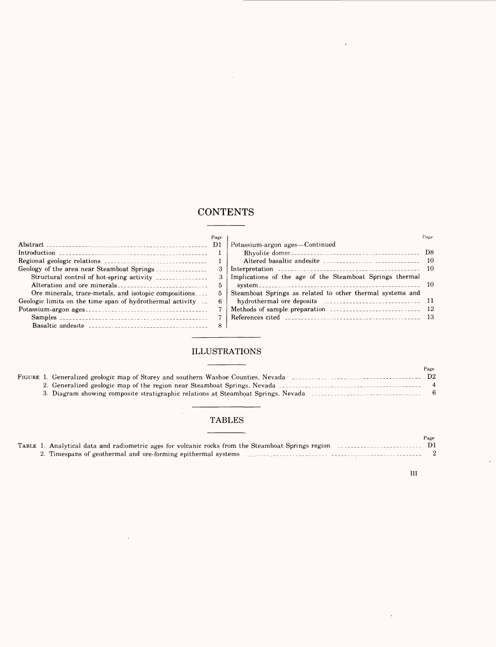# **CONTENTS**

 $\overline{\phantom{a}}$ 

 $\overline{ }$ 

 $\sim$ 

|                                                           | Page |                                                                  | Page |
|-----------------------------------------------------------|------|------------------------------------------------------------------|------|
|                                                           |      | Potassium-argon ages—Continued                                   |      |
|                                                           |      |                                                                  | D8   |
|                                                           |      |                                                                  |      |
| Geology of the area near Steamboat Springs                | 3    |                                                                  |      |
| Structural control of hot-spring activity _______________ | 3    | Implications of the age of the Steamboat Springs thermal         |      |
|                                                           | 5    |                                                                  |      |
| Ore minerals, trace-metals, and isotopic compositions     | 5    | Steamboat Springs as related to other thermal systems and        |      |
| Geologic limits on the time span of hydrothermal activity | 6    |                                                                  |      |
|                                                           | 7    | Methods of sample preparation <b>contained</b> in the same of 12 |      |
|                                                           | 7    |                                                                  |      |
| Basaltic andesite $\frac{1}{2}$                           | 8    |                                                                  |      |

# ILLUSTRATIONS  $\frac{1}{1-\frac{1}{1-\frac{1}{1-\frac{1}{1-\frac{1}{1-\frac{1}{1-\frac{1}{1-\frac{1}{1-\frac{1}{1-\frac{1}{1-\frac{1}{1-\frac{1}{1-\frac{1}{1-\frac{1}{1-\frac{1}{1-\frac{1}{1-\frac{1}{1-\frac{1}{1-\frac{1}{1-\frac{1}{1-\frac{1}{1-\frac{1}{1-\frac{1}{1-\frac{1}{1-\frac{1}{1-\frac{1}{1-\frac{1}{1-\frac{1}{1-\frac{1}{1-\frac{1}{1-\frac{1}{1-\frac{1}{1-\frac{1}{1-\frac{1}{1-\frac{1}{1-\frac{1}{1-\frac{1$

|  |                                                                                                                | Page |
|--|----------------------------------------------------------------------------------------------------------------|------|
|  | FIGURE 1. Generalized geologic map of Storey and southern Washoe Counties, Nevada [10] [10] [10] [10] [10] [10 |      |
|  |                                                                                                                |      |
|  |                                                                                                                |      |

# TABLES  $\frac{1}{2}$

 $\overline{\phantom{0}}$ 

|  |                                                                                                                       | Page |
|--|-----------------------------------------------------------------------------------------------------------------------|------|
|  | TABLE 1. Analytical data and radiometric ages for volcanic rocks from the Steamboat Springs region encontenance of D1 |      |
|  | 2. Timespans of geothermal and ore-forming epithermal systems encounter-continuous-continuous-continuous-contr        |      |

 $\mathcal{L}^{\text{max}}_{\text{max}}$ 

 $\sim 30$  km s  $^{-1}$ 

 $\sim$ 

 $\sim 200$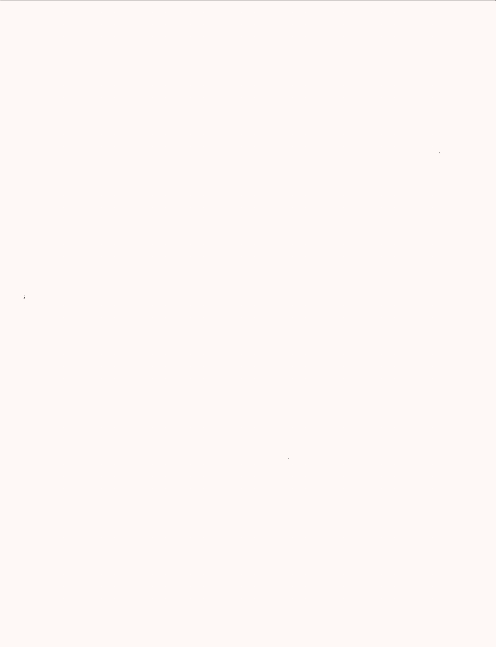$\label{eq:2.1} \frac{1}{\sqrt{2}}\int_{\mathbb{R}^3}\frac{1}{\sqrt{2}}\left(\frac{1}{\sqrt{2}}\right)^2\frac{1}{\sqrt{2}}\left(\frac{1}{\sqrt{2}}\right)^2\frac{1}{\sqrt{2}}\left(\frac{1}{\sqrt{2}}\right)^2.$  $\mathcal{L}^{\text{max}}_{\text{max}}$  and  $\mathcal{L}^{\text{max}}_{\text{max}}$  $\label{eq:2.1} \frac{1}{\sqrt{2}}\int_{0}^{\infty}\frac{1}{\sqrt{2\pi}}\left(\frac{1}{\sqrt{2\pi}}\right)^{2}d\mu\left(\frac{1}{\sqrt{2\pi}}\right)\frac{d\mu}{d\mu}d\mu\left(\frac{1}{\sqrt{2\pi}}\right).$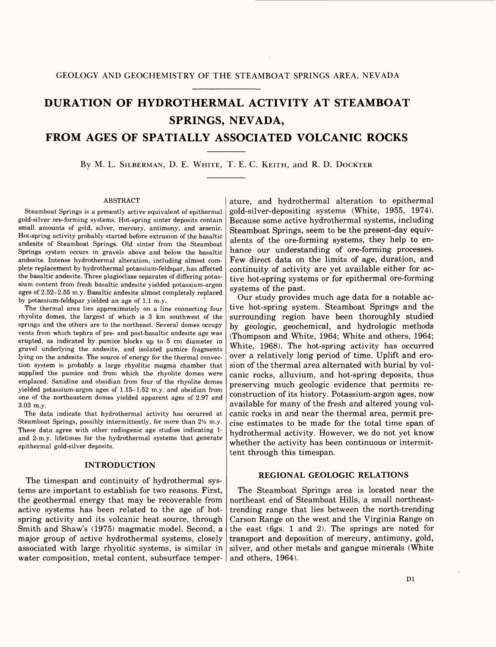# **DURATION OF HYDROTHERMAL ACTIVITY AT STEAMBOAT SPRINGS, NEVADA, FROM AGES OF SPATIALLY ASSOCIATED VOLCANIC ROCKS**

By M. L. SILBERMAN, D. E. WHITE, T. E. C. KEITH, and R. D. DOCKTER

#### ABSTRACT

Steamboat Springs is a presently active equivalent of epithermal gold-silver ore-forming systems. Hot-spring sinter deposits contain small amounts of gold, silver, mercury, antimony, and arsenic. Hot-spring activity probably started before extrusion of the basaltic andesite of Steamboat Springs. Old sinter from the Steamboat Springs system occurs in gravels above and below the basaltic andesite. Intense hydrothermal alteration, including almost complete replacement by hydrothermal potassium-feldspar, has affected the basaltic andesite. Three plagioclase separates of differing potassium content from fresh basaltic andesite yielded potassium-argon ages of 2.52-2.55 m.y. Basaltic andesite almost completely replaced by potassium-feldspar yielded an age of 1.1 m.y.

The thermal area lies approximately on a line connecting four rhyolite domes, the largest of which is 3 km southwest of the springs and the others are to the northeast. Several domes occupy vents from which tephra of pre- and post-basaltic andesite age was erupted, as indicated by pumice blocks up to 5 cm diameter in gravel underlying the andesite, and isolated pumice fragments lying on the andesite. The source of energy for the thermal convection system is probably a large rhyolitic magma chamber that supplied the pumice and from which the rhyolite domes were emplaced. Sanidine and obsidian from four of the rhyolite domes yielded potassium-argon ages of 1.15-1.52 m.y. and obsidian from one of the northeastern domes yielded apparent ages of 2.97 and 3.03 m.y.

The data indicate that hydrothermal activity has occurred at Steamboat Springs, possibly intermittently, for more than  $2\frac{1}{2}$  m.y. These data agree with other radiogenic age studies indicating 1 and 2-m.y. lifetimes for the hydrothermal systems that generate epithermal gold-silver deposits.

#### **INTRODUCTION**

The timespan and continuity of hydrothermal systems are important to establish for two reasons. First, the geothermal energy that may be recoverable from active systems has been related to the age of hotspring activity and its volcanic heat source, through Smith and Shaw's (1975) magmatic model. Second, a major group of active hydrothermal systems, closely associated with large rhyolitic systems, is similar in water composition, metal content, subsurface temper-

ature, and hydrothermal alteration to epithermal gold-silver-depositing systems (White, 1955, 1974). Because some active hydrothermal systems, including Steamboat Springs, seem to be the present-day equivalents of the ore-forming systems, they help to enhance our understanding of ore-forming processes. Few direct data on the limits of age, duration, and continuity of activity are yet available either for active hot-spring systems or for epithermal ore-forming systems of the past.

Our study provides much age data for a notable active hot-spring system. Steamboat Springs and the surrounding region have been thoroughly studied by geologic, geochemical, and hydrologic methods (Thompson and White, 1964; White and others, 1964; White, 1968). The hot-spring activity has occurred over a relatively long period of time. Uplift and erosion of the thermal area alternated with burial by volcanic rocks, alluvium, and hot-spring deposits, thus preserving much geologic evidence that permits reconstruction of its history. Potassium-argon ages, now available for many of the fresh and altered young volcanic rocks in and near the thermal area, permit precise estimates to be made for the total time span of hydrothermal activity. However, we do not yet know whether the activity has been continuous or intermittent through this timespan.

## **REGIONAL GEOLOGIC RELATIONS**

The Steamboat Springs area is located near the northeast end of Steamboat Hills, a small northeasttrending range that lies between the north-trending Carson Range on the west and the Virginia Range on the east (figs. 1 and 2). The springs are noted for transport and deposition of mercury, antimony, gold, silver, and other metals and gangue minerals (White and others, 1964).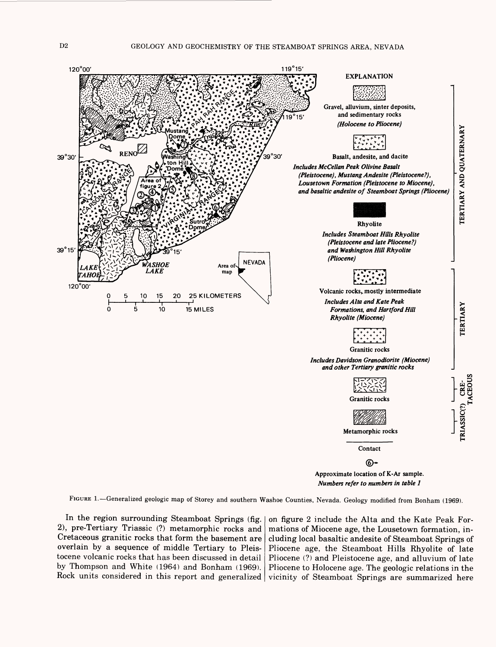

FIGURE 1. Generalized geologic map of Storey and southern Washoe Counties, Nevada. Geology modified from Bonham (1969).

In the region surrounding Steamboat Springs (fig. 2), pre-Tertiary Triassic (?) metamorphic rocks and Cretaceous granitic rocks that form the basement are overlain by a sequence of middle Tertiary to Pleistocene volcanic rocks that has been discussed in detail by Thompson and White (1964) and Bonham (1969).

Rock units considered in this report and generalized vicinity of Steamboat Springs are summarized here on figure 2 include the Alta and the Kate Peak Formations of Miocene age, the Lousetown formation, including local basaltic andesite of Steamboat Springs of Pliocene age, the Steamboat Hills Rhyolite of late Pliocene (?) and Pleistocene age, and alluvium of late Pliocene to Holocene age. The geologic relations in the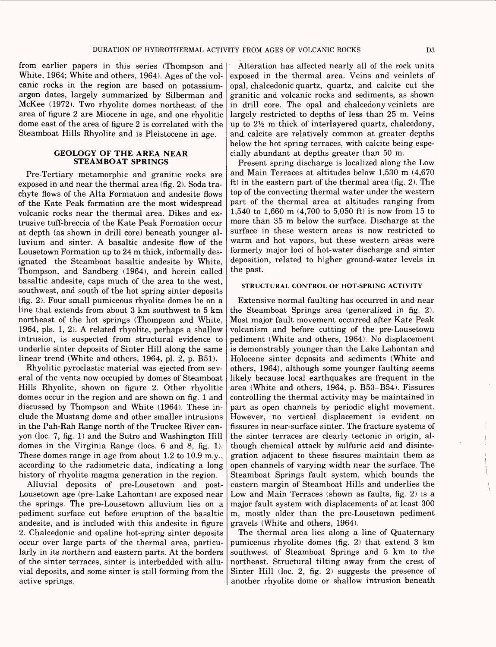from earlier papers in this series (Thompson and White, 1964; White and others, 1964). Ages of the volcanic rocks in the region are based on potassiumargon dates, largely summarized by Silberman and McKee (1972). Two rhyolite domes northeast of the area of figure 2 are Miocene in age, and one rhyolitic dome east of the area of figure 2 is correlated with the Steamboat Hills Rhyolite and is Pleistocene in age.

#### **GEOLOGY OF THE AREA NEAR STEAMBOAT SPRINGS**

Pre-Tertiary metamorphic and granitic rocks are exposed in and near the thermal area (fig. 2). Soda trachyte flows of the Alta Formation and andesite flows of the Kate Peak formation are the most widespread volcanic rocks near the thermal area. Dikes and extrusive tuff-breccia of the Kate Peak Formation occur at depth (as shown in drill core) beneath younger alluvium and sinter. A basaltic andesite flow of the Lousetown Formation up to 24 m thick, informally designated the Steamboat basaltic andesite by White, Thompson, and Sandberg (1964), and herein called basaltic andesite, caps much of the area to the west, southwest, and south of the hot spring sinter deposits (fig. 2). Four small pumiceous rhyolite domes lie on a line that extends from about 3 km southwest to 5 km northeast of the hot springs (Thompson and White, 1964, pis. 1, 2). A related rhyolite, perhaps a shallow intrusion, is suspected from structural evidence to underlie sinter deposits of Sinter Hill along the same linear trend (White and others, 1964, pi. 2, p. B51).

Rhyolitic pyroclastic material was ejected from several of the vents now occupied by domes of Steamboat Hills Rhyolite, shown on figure 2. Other rhyolitic domes occur in the region and are shown on fig. 1 and discussed by Thompson and White (1964). These include the Mustang dome and other smaller intrusions in the Pah-Rah Range north of the Truckee River canyon (loc. 7, fig. 1) and the Sutro and Washington Hill domes in the Virginia Range (Iocs. 6 and 8, fig. 1). These domes range in age from about 1.2 to 10.9 m.y., according to the radiometric data, indicating a long history of rhyolite magma generation in the region.

Alluvial deposits of pre-Lousetown and post-Lousetown age (pre-Lake Lahontan) are exposed near the springs. The pre-Lousetown alluvium lies on a pediment surface cut before eruption of the basaltic andesite, and is included with this andesite in figure 2. Chalcedonic and opaline hot-spring sinter deposits occur over large parts of the thermal area, particularly in its northern and eastern parts. At the borders of the sinter terraces, sinter is interbedded with alluvial deposits, and some sinter is still forming from the active springs.

Alteration has affected nearly all of the rock units exposed in the thermal area. Veins and veinlets of opal, chalcedonic quartz, quartz, and calcite cut the granitic and volcanic rocks and sediments, as shown in drill core. The opal and chalcedony veinlets are largely restricted to depths of less than 25 m. Veins up to  $2\frac{1}{2}$  m thick of interlayered quartz, chalcedony, and calcite are relatively common at greater depths below the hot spring terraces, with calcite being especially abundant at depths greater than 50 m.

Present spring discharge is localized along the Low and Main Terraces at altitudes below 1,530 m (4,670 ft) in the eastern part of the thermal area (fig. 2). The top of the convecting thermal water under the western part of the thermal area at altitudes ranging from 1,540 to 1,660 m (4,700 to 5,050 ft) is now from 15 to more than 35 m below the surface. Discharge at the surface in these western areas is now restricted to warm and hot vapors, but these western areas were formerly major loci of hot-water discharge and sinter deposition, related to higher ground-water levels in the past.

#### **STRUCTURAL CONTROL OF HOT-SPRING ACTIVITY**

Extensive normal faulting has occurred in and near the Steamboat Springs area (generalized in fig. 2). Most major fault movement occurred after Kate Peak volcanism and before cutting of the pre-Lousetown pediment (White and others, 1964). No displacement is demonstrably younger than the Lake Lahontan and Holocene sinter deposits and sediments (White and others, 1964), although some younger faulting seems likely because local earthquakes are frequent in the area (White and others, 1964, p. B53-B54). Fissures controlling the thermal activity may be maintained in part as open channels by periodic slight movement. However, no vertical displacement is evident on fissures in near-surface sinter. The fracture systems of the sinter terraces are clearly tectonic in origin, although chemical attack by sulfuric acid and disintegration adjacent to these fissures maintain them as open channels of varying width near the surface. The Steamboat Springs fault system, which bounds the eastern margin of Steamboat Hills and underlies the Low and Main Terraces (shown as faults, fig. 2) is a major fault system with displacements of at least 300 m, mostly older than the pre-Lousetown pediment gravels (White and others, 1964).

The thermal area lies along a line of Quaternary pumiceous rhyolite domes (fig. 2) that extend 3 km southwest of Steamboat Springs and 5 km to the northeast. Structural tilting away from the crest of Sinter Hill (loc. 2, fig. 2) suggests the presence of another rhyolite dome or shallow intrusion beneath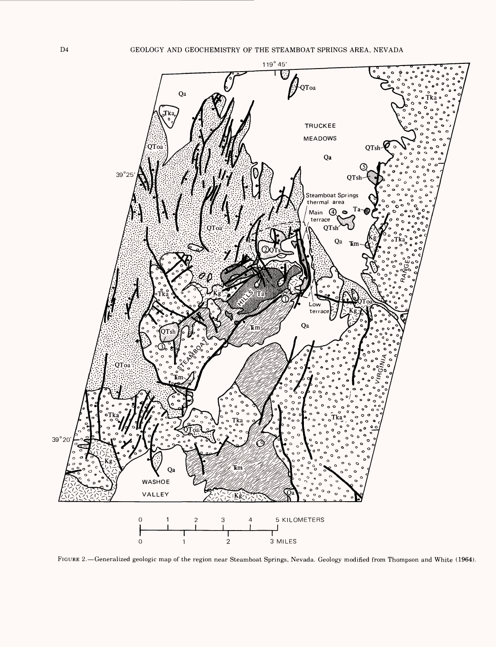

FIGURE 2.-Generalized geologic map of the region near Steamboat Springs, Nevada. Geology modified from Thompson and White (1964).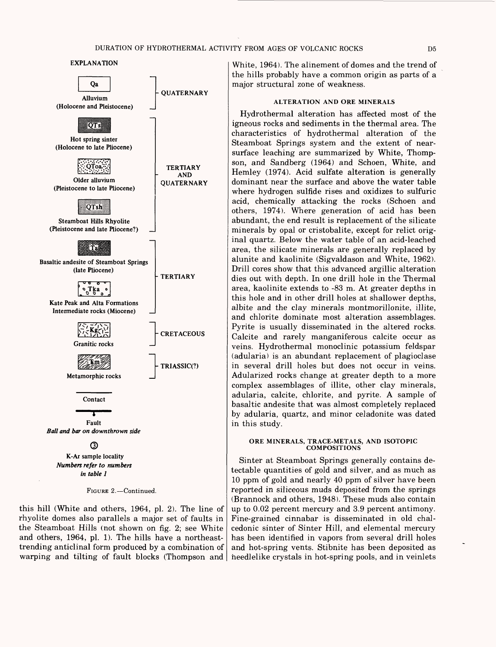**EXPLANATION**



this hill (White and others, 1964, pi. 2). The line of rhyolite domes also parallels a major set of faults in the Steamboat Hills (not shown on fig. 2; see White and others, 1964, pi. 1). The hills have a northeasttrending anticlinal form produced by a combination of warping and tilting of fault blocks (Thompson and

White, 1964). The alinement of domes and the trend of the hills probably have a common origin as parts of a major structural zone of weakness.

#### **ALTERATION AND ORE MINERALS**

Hydrothermal alteration has affected most of the igneous rocks and sediments in the thermal area. The characteristics of hydrothermal alteration of the Steamboat Springs system and the extent of nearsurface leaching are summarized by White, Thompson, and Sandberg (1964) and Schoen, White, and Hemley (1974). Acid sulfate alteration is generally dominant near the surface and above the water table where hydrogen sulfide rises and oxidizes to sulfuric acid, chemically attacking the rocks (Schoen and others, 1974). Where generation of acid has been abundant, the end result is replacement of the silicate minerals by opal or cristobalite, except for relict original quartz. Below the water table of an acid-leached area, the silicate minerals are generally replaced by alunite and kaolinite (Sigvaldason and White, 1962). Drill cores show that this advanced argillic alteration dies out with depth. In one drill hole in the Thermal area, kaolinite extends to -83 m. At greater depths in this hole and in other drill holes at shallower depths, albite and the clay minerals montmorillonite, illite, and chlorite dominate most alteration assemblages. Pyrite is usually disseminated in the altered rocks. Calcite and rarely manganiferous calcite occur as veins. Hydrothermal monoclinic potassium feldspar (adularia) is an abundant replacement of plagioclase in several drill holes but does not occur in veins. Adularized rocks change at greater depth to a more complex assemblages of illite, other clay minerals, adularia, calcite, chlorite, and pyrite. A sample of basaltic andesite that was almost completely replaced by adularia, quartz, and minor celadonite was dated in this study.

#### **ORE MINERALS, TRACE-METALS, AND ISOTOPIC COMPOSITIONS**

Sinter at Steamboat Springs generally contains detectable quantities of gold and silver, and as much as 10 ppm of gold and nearly 40 ppm of silver have been reported in siliceous muds deposited from the springs (Brannock and others, 1948). These muds also contain up to 0.02 percent mercury and 3.9 percent antimony. Fine-grained cinnabar is disseminated in old chalcedonic sinter of Sinter Hill, and elemental mercury has been identified in vapors from several drill holes and hot-spring vents. Stibnite has been deposited as heedlelike crystals in hot-spring pools, and in veinlets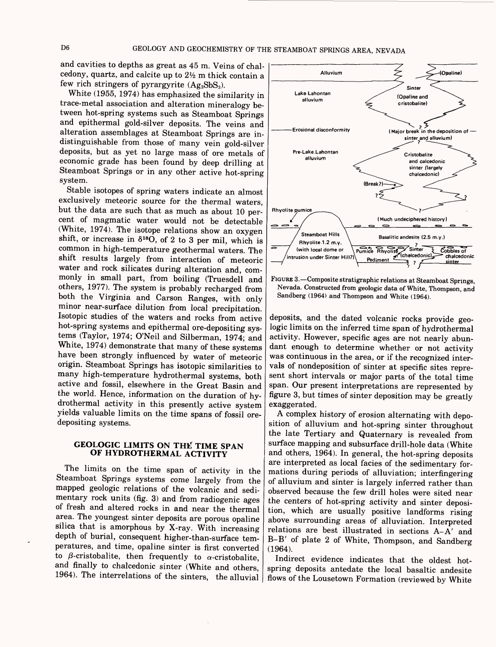and cavities to depths as great as 45 m. Veins of chal cedony, quartz, and calcite up to *2V2* m thick contain *<sup>i</sup>* few rich stringers of pyrargyrite  $(Ag_3SbS_3)$ .

White (1955, 1974) has emphasized the similarity in trace-metal association and alteration mineralogy between hot-spring systems such as Steamboat Springs and epithermal gold-silver deposits. The veins and alteration assemblages at Steamboat Springs are in distinguishable from those of many vein gold-silver deposits, but as yet no large mass of ore metals o economic grade has been found by deep drilling at Steamboat Springs or in any other active hot-spring system.

Stable isotopes of spring waters indicate an almost exclusively meteoric source for the thermal waters but the data are such that as much as about 10 per cent of magmatic water would not be detectable (White, 1974). The isotope relations show an oxygen shift, or increase in  $\delta^{18}$ O, of 2 to 3 per mil, which is common in high-temperature geothermal waters. The shift results largely from interaction of meteoric water and rock silicates during alteration and, commonly in small part, from boiling (Truesdell and others, 1977). The system is probably recharged from both the Virginia and Carson Ranges, with only minor near-surface dilution from local precipitation. Isotopic studies of the waters and rocks from active hot-spring systems and epithermal ore-depositing systems (Taylor, 1974; O'Neil and Silberman, 1974; and White, 1974) demonstrate that many of these systems have been strongly influenced by water of meteoric origin. Steamboat Springs has isotopic similarities to many high-temperature hydrothermal systems, both active and fossil, elsewhere in the Great Basin and the world. Hence, information on the duration of hydrothermal activity in this presently active system yields valuable limits on the time spans of fossil oredepositing systems.

# **GEOLOGIC LIMITS ON THE TIME SPAN OF HYDROTHERMAL ACTIVITY**

The limits on the time span of activity in the Steamboat Springs systems come largely from the mapped geologic relations of the volcanic and sedimentary rock units (fig. 3) and from radiogenic ages of fresh and altered rocks in and near the thermal area. The youngest sinter deposits are porous opaline silica that is amorphous by X-ray. With increasing depth of burial, consequent higher-than-surface temperatures, and time, opaline sinter is first converted to  $\beta$ -cristobalite, then frequently to  $\alpha$ -cristobalite, and finally to chalcedonic sinter (White and others, 1964). The interrelations of the sinters, the alluvial



FIGURE 3.-Composite stratigraphic relations at Steamboat Springs, Nevada. Constructed from geologic data of White, Thompson, and Sandberg (1964) and Thompson and White (1964).

deposits, and the dated volcanic rocks provide geologic limits on the inferred time span of hydrothermal activity. However, specific ages are not nearly abundant enough to determine whether or not activity was continuous in the area, or if the recognized intervals of nondeposition of sinter at specific sites represent short intervals or major parts of the total time span. Our present interpretations are represented by figure 3, but times of sinter deposition may be greatly exaggerated.

A complex history of erosion alternating with deposition of alluvium and hot-spring sinter throughout the late Tertiary and Quaternary is revealed from surface mapping and subsurface drill-hole data (White and others, 1964). In general, the hot-spring deposits are interpreted as local facies of the sedimentary formations during periods of alluviation; interfingering of alluvium and sinter is largely inferred rather than observed because the few drill holes were sited near the centers of hot-spring activity and sinter deposition, which are usually positive landforms rising above surrounding areas of alluviation. Interpreted elations are best illustrated in sections A-A' and B-B' of plate 2 of White, Thompson, and Sandberg  $(1964)$ .

Indirect evidence indicates that the oldest hotspring deposits antedate the local basaltic andesite flows of the Lousetown Formation (reviewed by White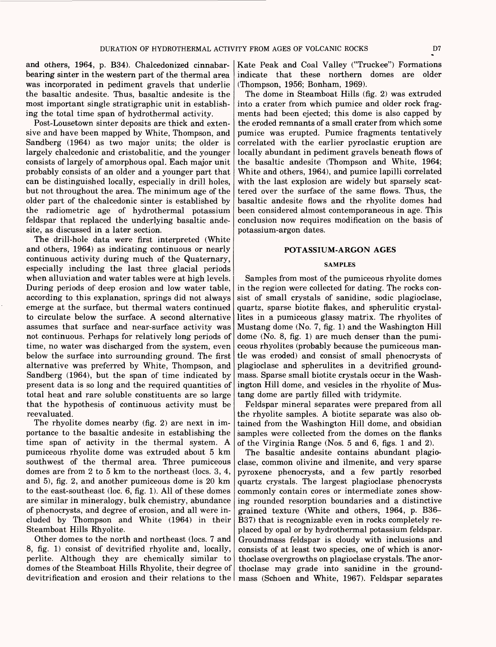and others, 1964, p. B34). Chalcedonized cinnabarbearing sinter in the western part of the thermal area was incorporated in pediment gravels that underlie the basaltic andesite. Thus, basaltic andesite is the most important single stratigraphic unit in establishing the total time span of hydrothermal activity.

Post-Lousetown sinter deposits are thick and extensive and have been mapped by White, Thompson, and Sandberg (1964) as two major units; the older is largely chalcedonic and cristobalitic, and the younger consists of largely of amorphous opal. Each major unit probably consists of an older and a younger part that can be distinguished locally, especially in drill holes, but not throughout the area. The minimum age of the older part of the chalcedonic sinter is established by the radiometric age of hydrothermal potassium feldspar that replaced the underlying basaltic andesite, as discussed in a later section.

The drill-hole data were first interpreted (White and others, 1964) as indicating continuous or nearly continuous activity during much of the Quaternary, especially including the last three glacial periods when alluviation and water tables were at high levels. During periods of deep erosion and low water table, according to this explanation, springs did not always emerge at the surface, but thermal waters continued to circulate below the surface. A second alternative assumes that surface and near-surface activity was not continuous. Perhaps for relatively long periods of time, no water was discharged from the system, even below the surface into surrounding ground. The first alternative was preferred by White, Thompson, and Sandberg (1964), but the span of time indicated by present data is so long and the required quantities of total heat and rare soluble constituents are so large that the hypothesis of continuous activity must be reevaluated.

The rhyolite domes nearby (fig. 2) are next in importance to the basaltic andesite in establishing the time span of activity in the thermal system. A pumiceous rhyolite dome was extruded about 5 km southwest of the thermal area. Three pumiceous domes are from 2 to 5 km to the northeast (Iocs. 3, 4, and 5), fig. 2, and another pumiceous dome is 20 km to the east-southeast (loc. 6, fig. 1). All of these domes are similar in mineralogy, bulk chemistry, abundance of phenocrysts, and degree of erosion, and all were included by Thompson and White (1964) in their Steamboat Hills Rhyolite.

Other domes to the north and northeast (Iocs. 7 and 8, fig. 1) consist of devitrified rhyolite and, locally, perlite. Although they are chemically similar to domes of the Steamboat Hills Rhyolite, their degree of devitrification and erosion and their relations to the

Kate Peak and Coal Valley ("Truckee") Formations indicate that these northern domes are older (Thompson, 1956; Bonham, 1969).

The dome in Steamboat Hills (fig. 2) was extruded into a crater from which pumice and older rock fragments had been ejected; this dome is also capped by the eroded remnants of a small crater from which some pumice was erupted. Pumice fragments tentatively correlated with the earlier pyroclastic eruption are locally abundant in pediment gravels beneath flows of the basaltic andesite (Thompson and White, 1964; White and others, 1964), and pumice lapilli correlated with the last explosion are widely but sparsely scattered over the surface of the same flows. Thus, the basaltic andesite flows and the rhyolite domes had been considered almost contemporaneous in age. This conclusion now requires modification on the basis of potassium-argon dates.

#### **POTASSIUM-ARGON AGES**

#### **SAMPLES**

Samples from most of the pumiceous rhyolite domes in the region were collected for dating. The rocks consist of small crystals of sanidine, sodic plagioclase, quartz, sparse biotite flakes, and spherulitic crystallites in a pumiceous glassy matrix. The rhyolites of Mustang dome (No. 7, fig. 1) and the Washington Hill dome (No. 8, fig. 1) are much denser than the pumiceous rhyolites (probably because the pumiceous mantle was eroded) and consist of small phenocrysts of plagioclase and spherulites in a devitrified groundmass. Sparse small biotite crystals occur in the Washington Hill dome, and vesicles in the rhyolite of Mustang dome are partly filled with tridymite.

Feldspar mineral separates were prepared from all the rhyolite samples. A biotite separate was also obtained from the Washington Hill dome, and obsidian samples were collected from the domes on the flanks of the Virginia Range (Nos. 5 and 6, figs. 1 and 2).

The basaltic andesite contains abundant plagioclase, common olivine and ilmenite, and very sparse pyroxene phenocrysts, and a few partly resorbed quartz crystals. The largest plagioclase phenocrysts commonly contain cores or intermediate zones showing rounded resorption boundaries and a distinctive grained texture (White and others, 1964, p. B36- B37) that is recognizable even in rocks completely replaced by opal or by hydrothermal potassium feldspar. Groundmass feldspar is cloudy with inclusions and consists of at least two species, one of which is anorthoclase overgrowths on plagioclase crystals. The anorthoclase may grade into sanidine in the groundmass (Schoen and White, 1967). Feldspar separates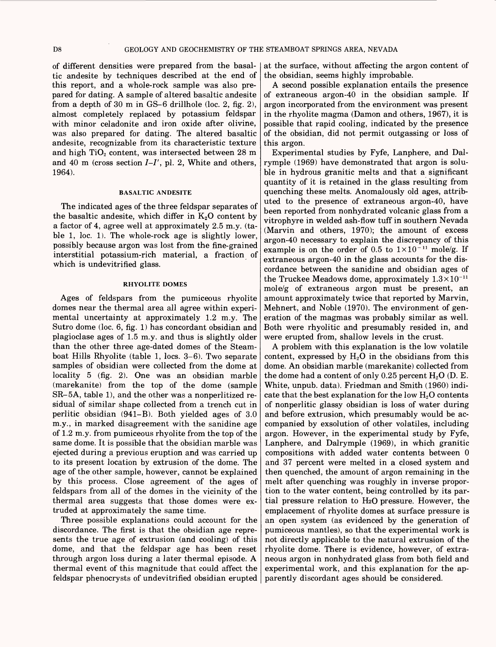of different densities were prepared from the basaltic andesite by techniques described at the end of this report, and a whole-rock sample was also prepared for dating. A sample of altered basaltic andesite from a depth of 30 m in GS-6 drillhole (loc. 2, fig. 2), almost completely replaced by potassium feldspar with minor celadonite and iron oxide after olivine, was also prepared for dating. The altered basaltic andesite, recognizable from its characteristic texture and high  $TiO<sub>2</sub>$  content, was intersected between 28 m and 40 m (cross section  $I-I'$ , pl. 2, White and others, 1964).

#### **BASALTIC ANDESITE**

The indicated ages of the three feldspar separates of the basaltic andesite, which differ in  $K_2O$  content by a factor of 4, agree well at approximately 2.5 m.y. (table 1, loc. 1). The whole-rock age is slightly lower, possibly because argon was lost from the fine-grained interstitial potassium-rich material, a fraction of which is undevitrified glass.

#### **RHYOLITE DOMES**

Ages of feldspars from the pumiceous rhyolite domes near the thermal area all agree within experimental uncertainty at approximately 1.2 m.y. The Sutro dome (loc. 6, fig. 1) has concordant obsidian and plagioclase ages of 1.5 m.y. and thus is slightly older than the other three age-dated domes of the Steamboat Hills Rhyolite (table 1, Iocs. 3-6). Two separate samples of obsidian were collected from the dome at locality 5 (fig. 2). One was an obsidian marble (marekanite) from the top of the dome (sample SR-5A, table 1), and the other was a nonperlitized residual of similar shape collected from a trench cut in perlitic obsidian (941-B). Both yielded ages of 3.0 m.y., in marked disagreement with the sanidine age of 1.2 m.y. from pumiceous rhyolite from the top of the same dome. It is possible that the obsidian marble was ejected during a previous eruption and was carried up to its present location by extrusion of the dome. The age of the other sample, however, cannot be explained by this process. Close agreement of the ages of feldspars from all of the domes in the vicinity of the thermal area suggests that those domes were extruded at approximately the same time.

Three possible explanations could account for the discordance. The first is that the obsidian age represents the true age of extrusion (and cooling) of this dome, and that the feldspar age has been reset through argon loss during a later thermal episode. A thermal event of this magnitude that could affect the feldspar phenocrysts of undevitrified obsidian erupted at the surface, without affecting the argon content of the obsidian, seems highly improbable.

A second possible explanation entails the presence of extraneous argon-40 in the obsidian sample. If argon incorporated from the environment was present in the rhyolite magma (Damon and others, 1967), it is possible that rapid cooling, indicated by the presence of the obsidian, did not permit outgassing or loss of this argon.

Experimental studies by Fyfe, Lanphere, and Dalrymple (1969) have demonstrated that argon is soluble in hydrous granitic melts and that a significant quantity of it is retained in the glass resulting from quenching these melts. Anomalously old ages, attributed to the presence of extraneous argon-40, have been reported from nonhydrated volcanic glass from a vitrophyre in welded ash-flow tuff in southern Nevada (Marvin and others, 1970); the amount of excess argon-40 necessary to explain the discrepancy of this example is on the order of 0.5 to  $1 \times 10^{-11}$  mole/g. If extraneous argon-40 in the glass accounts for the discordance between the sanidine and obsidian ages of the Truckee Meadows dome, approximately  $1.3 \times 10^{-11}$ mole/g of extraneous argon must be present, an amount approximately twice that reported by Marvin, Mehnert, and Noble (1970). The environment of generation of the magmas was probably similar as well. Both were rhyolitic and presumably resided in, and were erupted from, shallow levels in the crust.

A problem with this explanation is the low volatile content, expressed by  $H<sub>2</sub>O$  in the obsidians from this dome. An obsidian marble (marekanite) collected from the dome had a content of only 0.25 percent  $H_2O$  (D. E. White, unpub. data). Friedman and Smith (1960) indicate that the best explanation for the low H<sub>2</sub>O contents of nonperlitic glassy obsidian is loss of water during and before extrusion, which presumably would be accompanied by exsolution of other volatiles, including argon. However, in the experimental study by Fyfe, Lanphere, and Dalrymple (1969), in which granitic compositions with added water contents between 0 and 37 percent were melted in a closed system and then quenched, the amount of argon remaining in the melt after quenching was roughly in inverse proportion to the water content, being controlled by its partial pressure relation to H<sub>2</sub>O pressure. However, the emplacement of rhyolite domes at surface pressure is an open system (as evidenced by the generation of pumiceous mantles), so that the experimental work is not directly applicable to the natural extrusion of the rhyolite dome. There is evidence, however, of extraneous argon in nonhydrated glass from both field and experimental work, and this explanation for the apparently discordant ages should be considered.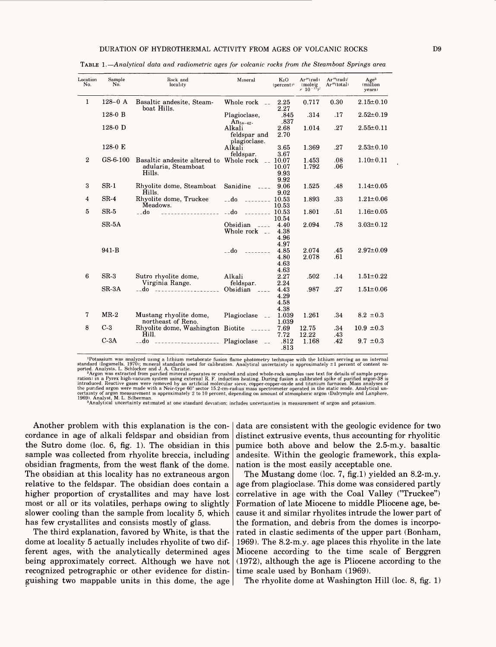| Location<br>No.    | Sample<br>No. | Rock and<br>locality                                                              | Mineral                                             | $K_2O$<br>$(percent)^{1}$    | Ar <sup>#</sup> '(rad)<br>$(\text{mole/g})$<br>$\times$ 10 <sup>-11</sup> ) <sup>2</sup> | $Ar^{*0}$ (rad)/<br>$Ar^{40}$ (total) | Age <sup>3</sup><br>(million<br>years) |
|--------------------|---------------|-----------------------------------------------------------------------------------|-----------------------------------------------------|------------------------------|------------------------------------------------------------------------------------------|---------------------------------------|----------------------------------------|
| 1                  | $128 - 0$ A   | Basaltic andesite, Steam-<br>boat Hills.                                          | Whole $rock$ $\overline{\phantom{a}}$               | 2.25<br>2.27                 | 0.717                                                                                    | 0.30                                  | $2.15 \pm 0.10$                        |
|                    | $128-0$ B     |                                                                                   | Plagioclase,<br>$\mathrm{An}_{58-62}.$              | .845<br>.837                 | .314                                                                                     | .17                                   | $2.52 \pm 0.19$                        |
|                    | $128-0$ D     |                                                                                   | Alkali<br>feldspar and<br>plagioclase.              | 2.68<br>2.70                 | 1.014                                                                                    | .27                                   | $2.55 \pm 0.11$                        |
|                    | $128-0$ E     |                                                                                   | Alkali<br>feldspar.                                 | 3.65<br>3.67                 | 1.369                                                                                    | .27                                   | $2.53 \pm 0.10$                        |
| $\mathbf{2}$       | GS-6-100      | Basaltic andesite altered to Whole rock __ 10.07<br>adularia, Steamboat<br>Hills. |                                                     | 10.07<br>9.93<br>9.92        | 1.453<br>1.792                                                                           | .08<br>.06                            | $1.10 \pm 0.11$                        |
| 3                  | $SR-1$        | Rhyolite dome, Steamboat<br>Hills.                                                | Sanidine $\overline{\phantom{a}}$                   | 9.06<br>9.02                 | 1.525                                                                                    | .48                                   | $1.14 \pm 0.05$                        |
| $\overline{\bf 4}$ | $SR-4$        | Rhyolite dome, Truckee<br>Meadows.                                                | $-do$ -------                                       | 10.53<br>10.53               | 1.893                                                                                    | .33                                   | $1.21 \pm 0.06$                        |
| 5                  | $SR-5$        | <u> 1999 - Frances Barbara, marg</u><br>$-do$                                     | $-$ do $-$ ------- 10.53                            | 10.54                        | 1.801                                                                                    | .51                                   | $1.16 \pm 0.05$                        |
|                    | $SR-5A$       |                                                                                   | Obsidian $\overline{\phantom{a}1}$<br>Whole rock __ | 4.40<br>4.38<br>4.96<br>4.97 | 2.094                                                                                    | .78                                   | $3.03 \pm 0.12$                        |
|                    | 941-B         |                                                                                   | $-do$ --------                                      | 4.85<br>4.80<br>4.63<br>4.63 | 2.074<br>2.078                                                                           | .45<br>.61                            | $2.97 \pm 0.09$                        |
| 6                  | $SR-3$        | Sutro rhyolite dome,<br>Virginia Range.                                           | Alkali<br>feldspar.                                 | 2.27<br>2.24                 | .502                                                                                     | .14                                   | $1.51 \pm 0.22$                        |
|                    | $SR-3A$       |                                                                                   | $\sim$ $\sim$ $\sim$ $\sim$                         | 4.43<br>4.29<br>4.58<br>4.38 | .987                                                                                     | .27                                   | $1.51 \pm 0.06$                        |
| 7                  | $MR-2$        | Mustang rhyolite dome,<br>northeast of Reno.                                      | Plagioclase __                                      | 1.039<br>1.039               | 1.261                                                                                    | .34                                   | $8.2 \pm 0.3$                          |
| 8                  | $C-3$         | Rhyolite dome, Washington Biotite<br>Hill.                                        |                                                     | 7.69<br>7.72                 | 12.75<br>12.22                                                                           | .34<br>.43                            | $10.9 \pm 0.3$                         |
|                    | $C-3A$        | $---------$ Plagioclase<br>$-do$                                                  |                                                     | .812<br>.813                 | 1.168                                                                                    | .42                                   | $9.7 \pm 0.3$                          |

TABLE 1. *Analytical data and radiometric ages for volcanic rocks from the Steamboat Springs area*

<sup>1</sup>Potassium was analyzed using a lithium metaborate fusion flame photometry technique with the lithium serving as an internal standard (Ingamells, 1970); mineral standards used for calibration. Analytical uncertainty is

3Analytical uncertainty estimated at one standard deviation; includes uncertainties in measurement of argon and potassium.

Another problem with this explanation is the concordance in age of alkali feldspar and obsidian from the Sutro dome (loc. 6, fig. 1). The obsidian in this sample was collected from rhyolite breccia, including obsidian fragments, from the west flank of the dome. The obsidian at this locality has no extraneous argon relative to the feldspar. The obsidian does contain a higher proportion of crystallites and may have lost most or all or its volatiles, perhaps owing to slightly slower cooling than the sample from locality 5, which has few crystallites and consists mostly of glass.

The third explanation, favored by White, is that the dome at locality 5 actually includes rhyolite of two different ages, with the analytically determined ages being approximately correct. Although we have not recognized petrographic or other evidence for distinguishing two mappable units in this dome, the age

data are consistent with the geologic evidence for two distinct extrusive events, thus accounting for rhyolitic pumice both above and below the 2.5-m.y. basaltic andesite. Within the geologic framework, this explanation is the most easily acceptable one.

The Mustang dome (loc. 7, fig.l) yielded an 8.2-m.y. age from plagioclase. This dome was considered partly correlative in age with the Coal Valley ("Truckee") Formation of late Miocene to middle Pliocene age, because it and similar rhyolites intrude the lower part of the formation, and debris from the domes is incorporated in clastic sediments of the upper part (Bonham, 1969). The 8.2-m.y. age places this rhyolite in the late Miocene according to the time scale of Berggren (1972), although the age is Pliocene according to the time scale used by Bonham (1969).

The rhyolite dome at Washington Hill (loc. 8, fig. 1)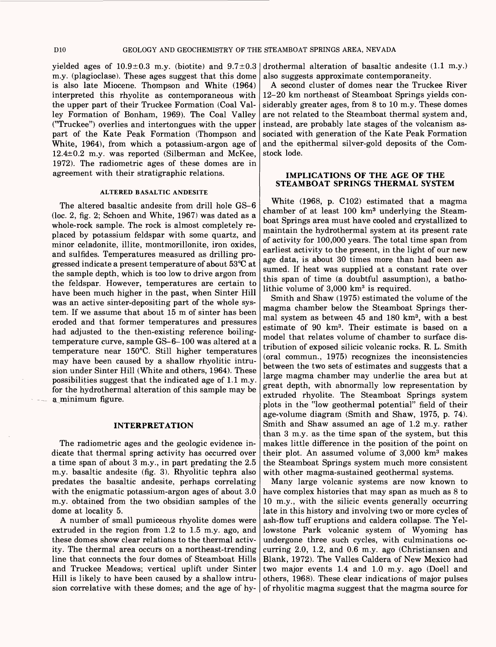yielded ages of  $10.9 \pm 0.3$  m.y. (biotite) and  $9.7 \pm 0.3$ m.y. (plagioclase). These ages suggest that this dome is also late Miocene. Thompson and White (1964) interpreted this rhyolite as contemporaneous with the upper part of their Truckee Formation (Coal Valley Formation of Bonham, 1969). The Coal Valley ("Truckee") overlies and intertongues with the upper part of the Kate Peak Formation (Thompson and White, 1964), from which a potassium-argon age of  $12.4\pm0.2$  m.y. was reported (Silberman and McKee, 1972). The radiometric ages of these domes are in agreement with their stratigraphic relations.

#### **ALTERED BASALTIC ANDESITE**

The altered basaltic andesite from drill hole GS-6 (loc. 2, fig. 2; Schoen and White, 1967) was dated as a whole-rock sample. The rock is almost completely replaced by potassium feldspar with some quartz, and minor celadonite, illite, montmorillonite, iron oxides, and sulfides. Temperatures measured as drilling progressed indicate a present temperature of about 53°C at the sample depth, which is too low to drive argon from the feldspar. However, temperatures are certain to have been much higher in the past, when Sinter Hill was an active sinter-depositing part of the whole system. If we assume that about 15 m of sinter has been eroded and that former temperatures and pressures had adjusted to the then-existing reference boilingtemperature curve, sample GS-6-100 was altered at a temperature near 150°C. Still higher temperatures may have been caused by a shallow rhyolitic intrusion under Sinter Hill (White and others, 1964). These possibilities suggest that the indicated age of 1.1 m.y. for the hydrothermal alteration of this sample may be a minimum figure.

#### **INTERPRETATION**

The radiometric ages and the geologic evidence indicate that thermal spring activity has occurred over a time span of about 3 m.y., in part predating the 2.5 m.y. basaltic andesite (fig. 3). Rhyolitic tephra also predates the basaltic andesite, perhaps correlating with the enigmatic potassium-argon ages of about 3.0 m.y. obtained from the two obsidian samples of the dome at locality 5.

A number of small pumiceous rhyolite domes were extruded in the region from 1.2 to 1.5 m.y. ago, and these domes show clear relations to the thermal activity. The thermal area occurs on a northeast-trending line that connects the four domes of Steamboat Hills and Truckee Meadows; vertical uplift under Sinter Hill is likely to have been caused by a shallow intrusion correlative with these domes; and the age of hy-

drothermal alteration of basaltic andesite (1.1 m.y.) also suggests approximate contemporaneity.

A second cluster of domes near the Truckee River 12-20 km northeast of Steamboat Springs yields considerably greater ages, from 8 to 10 m.y. These domes are not related to the Steamboat thermal system and, instead, are probably late stages of the volcanism associated with generation of the Kate Peak Formation and the epithermal silver-gold deposits of the Comstock lode.

#### **IMPLICATIONS OF THE AGE OF THE STEAMBOAT SPRINGS THERMAL SYSTEM**

White (1968, p. C102) estimated that a magma chamber of at least 100 km3 underlying the Steamboat Springs area must have cooled and crystallized to maintain the hydrothermal system at its present rate of activity for 100,000 years. The total time span from earliest activity to the present, in the light of our new age data, is about 30 times more than had been assumed. If heat was supplied at a constant rate over this span of time (a doubtful assumption), a batholithic volume of 3,000 km<sup>3</sup> is required.

Smith and Shaw (1975) estimated the volume of the magma chamber below the Steamboat Springs thermal system as between 45 and 180 km<sup>3</sup>, with a best estimate of 90 km<sup>3</sup>. Their estimate is based on a model that relates volume of chamber to surface distribution of exposed silicic volcanic rocks. R. L. Smith (oral commun., 1975) recognizes the inconsistencies between the two sets of estimates and suggests that a large magma chamber may underlie the area but at great depth, with abnormally low representation by extruded rhyolite. The Steamboat Springs system plots in the "low geothermal potential" field of their age-volume diagram (Smith and Shaw, 1975, p. 74). Smith and Shaw assumed an age of 1.2 m.y. rather than 3 m.y. as the time span of the system, but this makes little difference in the position of the point on their plot. An assumed volume of 3,000 km3 makes the Steamboat Springs system much more consistent with other magma-sustained geothermal systems.

Many large volcanic systems are now known to have complex histories that may span as much as 8 to 10 m.y., with the silicic events generally occurring late in this history and involving two or more cycles of ash-flow tuff eruptions and caldera collapse. The Yellowstone Park volcanic system of Wyoming has undergone three such cycles, with culminations occurring 2.0, 1.2, and 0.6 m.y. ago (Christiansen and Blank, 1972). The Valles Caldera of New Mexico had two major events 1.4 and 1.0 m.y. ago (Doell and others, 1968). These clear indications of major pulses of rhyolitic magma suggest that the magma source for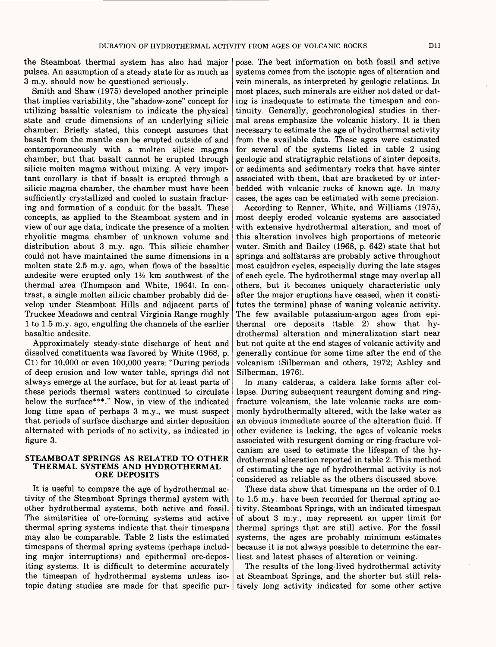the Steamboat thermal system has also had major pulses. An assumption of a steady state for as much as 3 m.y. should now be questioned seriously.

Smith and Shaw (1975) developed another principle that implies variability, the "shadow-zone" concept for utilizing basaltic volcanism to indicate the physical state and crude dimensions of an underlying silicic chamber. Briefly stated, this concept assumes that basalt from the mantle can be erupted outside of and contemporaneously with a molten silicic magma chamber, but that basalt cannot be erupted through silicic molten magma without mixing. A very important corollary is that if basalt is erupted through a silicic magma chamber, the chamber must have been sufficiently crystallized and cooled to sustain fracturing and formation of a conduit for the basalt. These concepts, as applied to the Steamboat system and in view of our age data, indicate the presence of a molten rhyolitic magma chamber of unknown volume and distribution about 3 m.y. ago. This silicic chamber could not have maintained the same dimensions in a molten state 2.5 m.y. ago, when flows of the basaltic andesite were erupted only  $1\frac{1}{2}$  km southwest of the thermal area (Thompson and White, 1964). In contrast, a single molten silicic chamber probably did develop under Steamboat Hills and adjacent parts of Truckee Meadows and central Virginia Range roughly 1 to 1.5 m.y. ago, engulfing the channels of the earlier basaltic andesite.

Approximately steady-state discharge of heat and dissolved constituents was favored by White (1968, p. C1) for  $10,000$  or even  $100,000$  years: "During periods of deep erosion and low water table, springs did not always emerge at the surface, but for at least parts of these periods thermal waters continued to circulate below the surface\*\*\*." Now, in view of the indicated long time span of perhaps 3 m.y., we must suspect that periods of surface discharge and sinter deposition alternated with periods of no activity, as indicated in figure 3.

#### **STEAMBOAT SPRINGS AS RELATED TO OTHER THERMAL SYSTEMS AND HYDROTHERMAL ORE DEPOSITS**

It is useful to compare the age of hydrothermal activity of the Steamboat Springs thermal system with other hydrothermal systems, both active and fossil. The similarities of ore-forming systems and active thermal spring systems indicate that their timespans may also be comparable. Table 2 lists the estimated timespans of thermal spring systems (perhaps including major interruptions) and epithermal ore-depositing systems. It is difficult to determine accurately the timespan of hydrothermal systems unless isotopic dating studies are made for that specific pur-

pose. The best information on both fossil and active systems comes from the isotopic ages of alteration and vein minerals, as interpreted by geologic relations. In most places, such minerals are either not dated or dating is inadequate to estimate the timespan and continuity. Generally, geochronological studies in thermal areas emphasize the volcanic history. It is then necessary to estimate the age of hydrothermal activity from the available data. These ages were estimated for several of the systems listed in table 2 using geologic and stratigraphic relations of sinter deposits, or sediments and sedimentary rocks that have sinter associated with them, that are bracketed by or interbedded with volcanic rocks of known age. In many cases, the ages can be estimated with some precision.

According to Renner, White, and Williams (1975), most deeply eroded volcanic systems are associated with extensive hydrothermal alteration, and most of this alteration involves high proportions of meteoric water. Smith and Bailey (1968, p. 642) state that hot springs and solfataras are probably active throughout most cauldron cycles, especially during the late stages of each cycle. The hydrothermal stage may overlap all others, but it becomes uniquely characteristic only after the major eruptions have ceased, when it constitutes the terminal phase of waning volcanic activity. The few available potassium-argon ages from epithermal ore deposits (table 2) show that hydrothermal alteration and mineralization start near but not quite at the end stages of volcanic activity and generally continue for some time after the end of the volcanism (Silberman and others, 1972; Ashley and Silberman, 1976).

In many calderas, a caldera lake forms after collapse. During subsequent resurgent doming and ringfracture volcanism, the late volcanic rocks are commonly hydrothermally altered, with the lake water as an obvious immediate source of the alteration fluid. If other evidence is lacking, the ages of volcanic rocks associated with resurgent doming or ring-fracture volcanism are used to estimate the lifespan of the hydrothermal alteration reported in table 2. This method of estimating the age of hydrothermal activity is not considered as reliable as the others discussed above.

These data show that timespans on the order of 0.1 to 1.5 m.y. have been recorded for thermal spring activity. Steamboat Springs, with an indicated timespan of about 3 m.y., may represent an upper limit for thermal springs that are still active. For the fossil systems, the ages are probably minimum estimates because it is not always possible to determine the earliest and latest phases of alteration or veining.

The results of the long-lived hydrothermal activity at Steamboat Springs, and the shorter but still relatively long activity indicated for some other active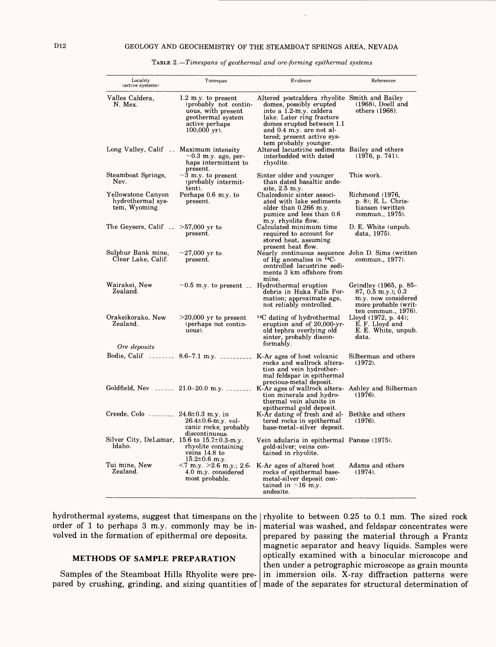| Locality<br>(active systems)                                 | Timespan                                                                                                                            | Evidence                                                                                                                                                                                                                                         | References                                                                                                              |
|--------------------------------------------------------------|-------------------------------------------------------------------------------------------------------------------------------------|--------------------------------------------------------------------------------------------------------------------------------------------------------------------------------------------------------------------------------------------------|-------------------------------------------------------------------------------------------------------------------------|
| Valles Caldera,<br>N. Mex.                                   | 1.2 m.y. to present<br>(probably not contin-<br>uous, with present<br>geothermal system<br>active perhaps<br>$100,000 \text{ yr}$ . | Altered postcaldera rhyolite Smith and Bailey<br>domes, possibly erupted<br>into a 1.2-m.y. caldera<br>lake. Later ring fracture<br>domes erupted between 1.1<br>and 0.4 m.y. are not al-<br>tered; present active sys-<br>tem probably younger. | $(1968)$ , Doell and<br>others (1968).                                                                                  |
| Long Valley, Calif __                                        | Maximum intensity<br>$\sim$ 0.3 m.y. ago, per-<br>haps intermittent to<br>present.                                                  | Altered lacustrine sediments Bailey and others<br>interbedded with dated<br>rhyolite.                                                                                                                                                            | (1976, p. 741).                                                                                                         |
| Steamboat Springs,<br>Nev.                                   | $\sim$ 3 m.y. to present<br>(probably intermit-<br>tent).                                                                           | Sinter older and younger<br>than dated basaltic ande-<br>site, 2.5 m.y.                                                                                                                                                                          | This work.                                                                                                              |
| Yellowstone Canyon<br>hydrothermal sys-<br>tem, Wyoming.     | Perhaps 0.6 m.y. to<br>present.                                                                                                     | Chalcedonic sinter associ-<br>ated with lake sediments<br>older than 0.266 m.y.<br>pumice and less than 0.6<br>m.y. rhyolite flow.                                                                                                               | Richmond (1976,<br>p. 8); R. L. Chris-<br>tiansen (written<br>commun., 1975).                                           |
| The Geysers, Calif $\sim$ >57,000 yr to                      | present.                                                                                                                            | Calculated minimum time<br>required to account for<br>stored heat, assuming<br>present heat flow.                                                                                                                                                | D. E. White (unpub.<br>data, 1975).                                                                                     |
| Sulphur Bank mine.<br>Clear Lake, Calif.                     | $\sim$ 27,000 yr to<br>present.                                                                                                     | Nearly continuous sequence John D. Sims (written<br>of Hg anomalies in $^{14}C$ -<br>controlled lacustrine sedi-<br>ments 3 km offshore from<br>mine.                                                                                            | commun., 1977).                                                                                                         |
| Wairakei, New<br>Zealand.                                    | $\sim$ 0.5 m.y. to present $\sim$ Hydrothermal eruption                                                                             | debris in Huka Falls For-<br>mation; approximate age,<br>not reliably controlled.                                                                                                                                                                | Grindley (1965, p. 85–<br>$87, 0.5$ m.y.); 0.3<br>m.y. now considered<br>more probable (writ-<br>ten commun., $1976$ ). |
| Orakeikorako, New<br>Zealand.<br>Ore deposits                | $>20,000$ yr to present<br>(perhaps not contin-<br>uous).                                                                           | $14C$ dating of hydrothermal<br>eruption and of 20,000-yr-<br>old tephra overlying old<br>sinter, probably discon-<br>formably.                                                                                                                  | Lloyd $(1972, p. 44)$ ;<br>E. F. Lloyd and<br>E. E. White, unpub.<br>data.                                              |
|                                                              | Bodie, Calif _________ 8.6-7.1 m.y. __________                                                                                      | K-Ar ages of host volcanic<br>rocks and wallrock altera-<br>tion and vein hydrother-<br>mal feldspar in epithermal<br>precious-metal deposit.                                                                                                    | Silberman and others<br>(1972).                                                                                         |
|                                                              |                                                                                                                                     | Goldfield, Nev _______ 21.0–20.0 m.y. ________ K-Ar ages of wallrock altera- Ashley and Silberman<br>tion minerals and hydro-<br>thermal vein alunite in<br>epithermal gold deposit.                                                             | $(1976)$ .                                                                                                              |
| Creede, Colo ________ 24.6 $\pm$ 0.3 m.y. in                 | $26.4 \pm 0.6$ -m.y. vol-<br>canic rocks; probably                                                                                  | K-Ar dating of fresh and al- Bethke and others<br>tered rocks in epithermal<br>base-metal-silver deposit.                                                                                                                                        | (1976).                                                                                                                 |
| Silver City, DeLamar, 15.6 to $15.7 \pm 0.3$ -m.y.<br>Idaho. | discontinuous.<br>rhyolite containing<br>veins 14.8 to<br>$15.2 \pm 0.6$ m.y.                                                       | Vein adularia in epithermal Pansze (1975).<br>gold-silver; veins con-<br>tained in rhyolite.                                                                                                                                                     |                                                                                                                         |
| Tui mine, New<br>Zealand.                                    | $<$ 7 m.y. $>$ 2.6 m.y.; 2.6<br>4.0 m.v. considered<br>most probable.                                                               | K-Ar ages of altered host<br>rocks of epithermal base-<br>metal-silver deposit con-<br>tained in $\sim$ 16 m.y.<br>andesite.                                                                                                                     | Adams and others<br>$(1974)$ .                                                                                          |

TABLE 2. *Timespans of geothermal and ore-forming epithermal systems*

hydrothermal systems, suggest that timespans on the | rhyolite to between 0.25 to 0.1 mm. The sized rock order of 1 to perhaps 3 m.y. commonly may be involved in the formation of epithermal ore deposits.

## **METHODS OF SAMPLE PREPARATION**

Samples of the Steamboat Hills Rhyolite were prepared by crushing, grinding, and sizing quantities of  $|$  made of the separates for structural determination of

material was washed, and feldspar concentrates were prepared by passing the material through a Frantz magnetic separator and heavy liquids. Samples were optically examined with a binocular microscope and then under a petrographic microscope as grain mounts in immersion oils. X-ray diffraction patterns were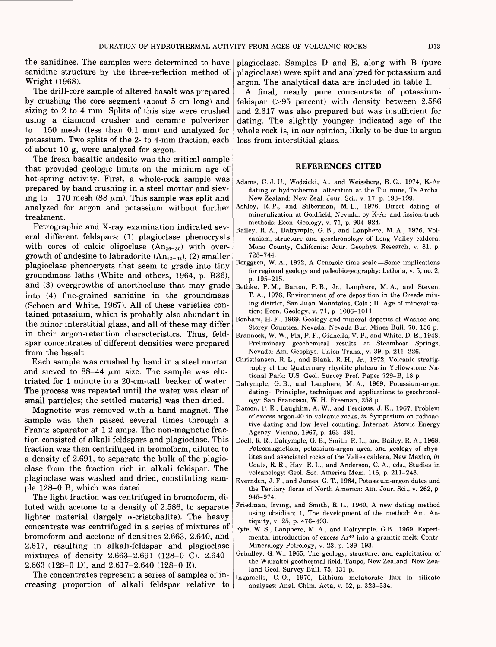the sanidines. The samples were determined to have sanidine structure by the three-reflection method of Wright (1968).

The drill-core sample of altered basalt was prepared by crushing the core segment (about 5 cm long) and sizing to 2 to 4 mm. Splits of this size were crushed using a diamond crusher and ceramic pulverizer to  $-150$  mesh (less than 0.1 mm) and analyzed for potassium. Two splits of the 2- to 4-mm fraction, each of about 10 g, were analyzed for argon.

The fresh basaltic andesite was the critical sample that provided geologic limits on the minium age of hot-spring activity. First, a whole-rock sample was prepared by hand crushing in a steel mortar and sieving to  $-170$  mesh (88  $\mu$ m). This sample was split and analyzed for argon and potassium without further treatment.

Petrographic and X-ray examination indicated several different feldspars: (1) plagioclase phenocrysts with cores of calcic oligoclase  $(An_{26-30})$  with overgrowth of andesine to labradorite  $(An_{42-62})$ , (2) smaller plagioclase phenocrysts that seem to grade into tiny groundmass laths (White and others, 1964, p. B36), and (3) overgrowths of anorthoclase that may grade into (4) fine-grained sanidine in the groundmass (Schoen and White, 1967). All of these varieties contained potassium, which is probably also abundant in the minor interstitial glass, and all of these may differ in their argon-retention characteristics. Thus, feldspar concentrates of different densities were prepared from the basalt.

Each sample was crushed by hand in a steel mortar and sieved to 88-44  $\mu$ m size. The sample was elutriated for 1 minute in a 20-cm-tall beaker of water. The process was repeated until the water was clear of small particles; the settled material was then dried.

Magnetite was removed with a hand magnet. The sample was then passed several times through a Frantz separator at 1.2 amps. The non-magnetic fraction consisted of alkali feldspars and plagioclase. This fraction was then centrifuged in bromoform, diluted to a density of 2.691, to separate the bulk of the plagioclase from the fraction rich in alkali feldspar. The plagioclase was washed and dried, constituting sample 128-0 B, which was dated.

The light fraction was centrifuged in bromoform, diluted with acetone to a density of 2.586, to separate lighter material (largely  $\alpha$ -cristobalite). The heavy concentrate was centrifuged in a series of mixtures of bromoform and acetone of densities 2.663, 2.640, and 2.617, resulting in alkali-feldspar and plagioclase mixtures of density 2.663-2.691 (128-0 C), 2.640- 2.663 (128-0 D), and 2.617-2.640 (128-0 E).

The concentrates represent a series of samples of increasing proportion of alkali feldspar relative to

plagioclase. Samples D and E, along with B (pure plagioclase) were split and analyzed for potassium and argon. The analytical data are included in table 1.

A final, nearly pure concentrate of potassiumfeldspar  $(>95$  percent) with density between 2.586 and 2.617 was also prepared but was insufficient for dating. The slightly younger indicated age of the whole rock is, in our opinion, likely to be due to argon loss from interstitial glass.

#### **REFERENCES CITED**

- Adams, C. J. U., Wodzicki, A., and Weissberg, B. G., 1974, K-Ar dating of hydrothermal alteration at the Tui mine, Te Aroha, New Zealand: New Zeal. Jour. Sci., v. 17, p. 193-199.
- Ashley, R. P., and Silberman, M. L., 1976, Direct dating of mineralization at Goldfield, Nevada, by K-Ar and fission-track methods: Econ. Geology, v. 71, p. 904-924.
- Bailey, R. A., Dalrymple, G. B., and Lanphere, M. A., 1976, Volcanism, structure and geochronology of Long Valley caldera, Mono County, California: Jour. Geophys. Research, v. 81, p. 725-744.
- Berggren, W. A., 1972, A Cenozoic time scale—Some implications for regional geology and paleobiogeography: Lethaia, v. 5, no. 2, p. 195-215.
- Bethke, P. M., Barton, P. B., Jr., Lanphere, M. A., and Steven, T. A., 1976, Environment of ore deposition in the Creede mining district, San Juan Mountains, Colo.; II. Age of mineralization: Econ. Geology, v. 71, p. 1006-1011.
- Bonham, H. F., 1969, Geology and mineral deposits of Washoe and Storey Counties, Nevada: Nevada Bur. Mines Bull. 70, 136 p.
- Brannock, W. W., Fix, P. F., Gianella, V. P., and White, D. E., 1948, Preliminary geochemical results at Steamboat Springs, Nevada: Am. Geophys. Union Trans., v. 39, p. 211-226.
- Christiansen, R. L., and Blank, R. H., Jr., 1972, Volcanic stratigraphy of the Quaternary rhyolite plateau in Yellowstone National Park: U.S. Geol. Survey Prof. Paper 729-B, 18 p.
- Dalrymple, G. B., and Lanphere, M. A., 1969, Potassium-argon dating-Principles, techniques and applications to geochronology: San Francisco, W. H. Freeman, 258 p.
- Damon, P. E., Laughlin, A. W., and Percious, J. K., 1967, Problem of excess argon-40 in volcanic rocks, *in* Symposium on radioactive dating and low level counting: Internat. Atomic Energy Agency, Vienna, 1967, p. 463-481.
- Doell, R. R., Dalrymple, G. B., Smith, R. L., and Bailey, R. A., 1968, Paleomagnetism, potassium-argon ages, and geology of rhyolites and associated rocks of the Valles caldera, New Mexico, *in*  Coats, R. R., Hay, R. L., and Anderson, C. A., eds., Studies in volcanology: Geol. Soc. America Mem. 116, p. 211-248.
- Evernden, J. F., and James, G. T., 1964, Potassium-argon dates and the Tertiary floras of North America: Am. Jour. Sci., v. 262, p. 945-974.
- Friedman, Irving, and Smith, R. L., 1960, A new dating method using obsidian; 1, The development of the method: Am. Antiquity, v. 25, p. 476-493.
- Fyfe, W. S., Lanphere, M. A., and Dalrymple, GB., 1969, Experimental introduction of excess Ar40 into a granitic melt: Contr. Mineralogy Petrology, v. 23, p. 189-193.
- Grindley, G. W., 1965, The geology, structure, and exploitation of the Wairakei geothermal field, Taupo, New Zealand: New Zealand Geol. Survey Bull. 75, 131 p.
- Ingamells, C. O., 1970, Lithium metaborate flux in silicate analyses: Anal. Chim. Acta, v. 52, p. 323-334.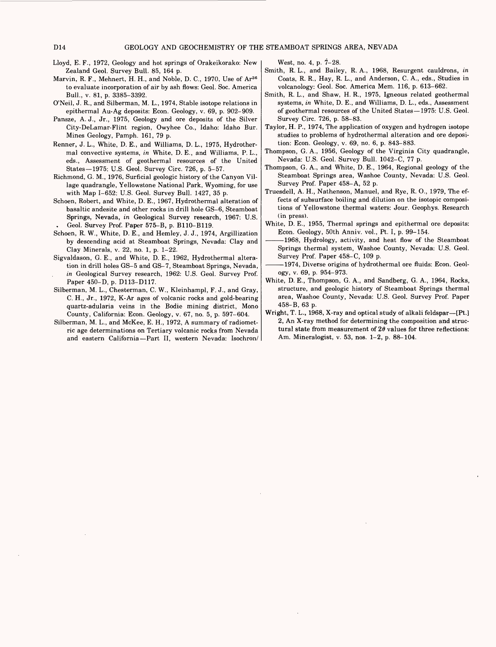- Lloyd, E. F., 1972, Geology and hot springs of Orakeikorako: New Zealand Geol. Survey Bull. 85, 164 p.
- Marvin, R. F., Mehnert, H. H., and Noble, D. C., 1970, Use of Ar36 to evaluate incorporation of air by ash flows: Geol. Soc. America Bull., v. 81, p. 3385-3392.
- O'Neil, J. R., and Silberman, M. L., 1974, Stable isotope relations in epithermal Au-Ag deposits: Econ. Geology, v. 69, p. 902-909.
- Pansze, A. J., Jr., 1975, Geology and ore deposits of the Silver City-DeLamar-Flint region, Owyhee Co., Idaho: Idaho Bur. Mines Geology, Pamph. 161, 79 p.
- Renner, J. L., White, D. E., and Williams, D. L., 1975, Hydrothermal convective systems, *in* White, D. E., and Williams, P. L., eds., Assessment of geothermal resources of the United States 1975: U.S. Geol. Survey Circ. 726, p. 5-57.
- Richmond, G. M., 1976, Surficial geologic history of the Canyon Village quadrangle, Yellowstone National Park, Wyoming, for use with Map 1-652: U.S. Geol. Survey Bull. 1427, 35 p.
- Schoen, Robert, and White, D. E., 1967, Hydrothermal alteration of basaltic andesite and other rocks in drill hole GS-6, Steamboat Springs, Nevada, *in* Geological Survey research, 1967: U.S. . Geol. Survey Prof. Paper 575-B, p. B110-B119.
- Schoen, R. W., White, D. E., and Hemley, J. J., 1974, Argillization by descending acid at Steamboat Springs, Nevada: Clay and Clay Minerals, v. 22, no. 1, p. 1-22.
- Sigvaldason, G. E., and White, D. E., 1962, Hydrothermal alteration in drill holes GS-5 and GS-7, Steamboat Springs, Nevada, *in* Geological Survey research, 1962: U.S. Geol. Survey Prof. Paper 450-D, p. D113-D117.
- Silberman, M. L., Chesterman, C. W., Kleinhampl, F. J., and Gray, C. H., Jr., 1972, K-Ar ages of volcanic rocks and gold-bearing quartz-adularia veins in the Bodie mining district, Mono County, California: Econ. Geology, v. 67, no. 5, p. 597-604.
- Silberman, M. L., and McKee, E. H., 1972, A summary of radiometric age determinations on Tertiary volcanic rocks from Nevada and eastern California-Part II, western Nevada: Isochron/

West, no. 4, p. 7-28.

- Smith, R. L., and Bailey, R. A., 1968, Resurgent cauldrons, *in*  Coats, R. R., Hay, R. L., and Anderson, C. A., eds., Studies in volcanology: Geol. Soc. America Mem. 116, p. 613-662.
- Smith, R. L., and Shaw, H. R., 1975, Igneous related geothermal systems, *in* White, D. E., and Williams, D. L., eds., Assessment of geothermal resources of the United States - 1975: U.S. Geol. Survey Circ. 726, p. 58-83.
- Taylor, H. P., 1974, The application of oxygen and hydrogen isotope studies to problems of hydrothermal alteration and ore deposition: Econ. Geology, v. 69, no. 6, p. 843-883.
- Thompson, G. A., 1956, Geology of the Virginia City quadrangle, Nevada: U.S. Geol. Survey Bull. 1042-C, 77 p.
- Thompson, G. A., and White, D. E., 1964, Regional geology of the Steamboat Springs area, Washoe County, Nevada: U.S. Geol. Survey Prof. Paper 458-A, 52 p.
- Truesdell, A. H., Nathenson, Manuel, and Rye, R. O., 1979, The effects of subsurface boiling and dilution on the isotopic compositions of Yellowstone thermal waters: Jour. Geophys. Research (in press).
- White, D. E., 1955, Thermal springs and epithermal ore deposits: Econ. Geology, 50th Anniv. vol., Pt. I, p. 99-154.
- 1968, Hydrology, activity, and heat flow of the Steamboat Springs thermal system, Washoe County, Nevada: U.S. Geol. Survey Prof. Paper 458-C, 109 p.
- -1974, Diverse origins of hydrothermal ore fluids: Econ. Geology, v. 69, p. 954-973.
- White, D. E., Thompson, G. A., and Sandberg, G. A., 1964, Rocks, structure, and geologic history of Steamboat Springs thermal area, Washoe County, Nevada: U.S. Geol. Survey Prof. Paper 458-B, 63 p.
- Wright, T. L., 1968, X-ray and optical study of alkali feldspar-[Pt.] 2, An X-ray method for determining the composition and structural state from measurement of *26* values for three reflections: Am. Mineralogist, v. 53, nos. 1-2, p. 88-104.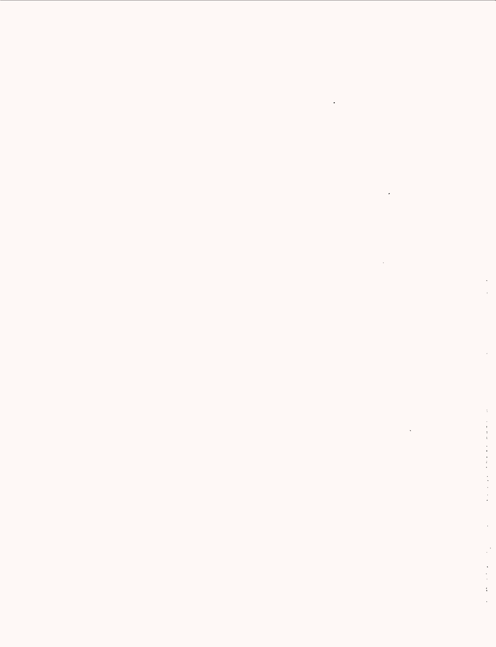$\frac{1}{\sqrt{2}}$ 医水平电压器 医半原子的 医中间的  $\hat{\mathcal{S}}$  $\frac{1}{2}$ 

 $\mathcal{L}^{\text{max}}_{\text{max}}$  and  $\mathcal{L}^{\text{max}}_{\text{max}}$  $\mathcal{L}^{\text{max}}_{\text{max}}$  and  $\mathcal{L}^{\text{max}}_{\text{max}}$  $\label{eq:1} \frac{1}{2} \left( \frac{1}{2} \right)^2 \left( \frac{1}{2} \right)^2 \left( \frac{1}{2} \right)^2$ 

 $\label{eq:2.1} \frac{1}{\sqrt{2}}\left(\frac{1}{\sqrt{2}}\right)^{2} \left(\frac{1}{\sqrt{2}}\right)^{2} \left(\frac{1}{\sqrt{2}}\right)^{2} \left(\frac{1}{\sqrt{2}}\right)^{2} \left(\frac{1}{\sqrt{2}}\right)^{2} \left(\frac{1}{\sqrt{2}}\right)^{2} \left(\frac{1}{\sqrt{2}}\right)^{2} \left(\frac{1}{\sqrt{2}}\right)^{2} \left(\frac{1}{\sqrt{2}}\right)^{2} \left(\frac{1}{\sqrt{2}}\right)^{2} \left(\frac{1}{\sqrt{2}}\right)^{2} \left(\$ 

 $\mathcal{A}^{\mathcal{A}}$